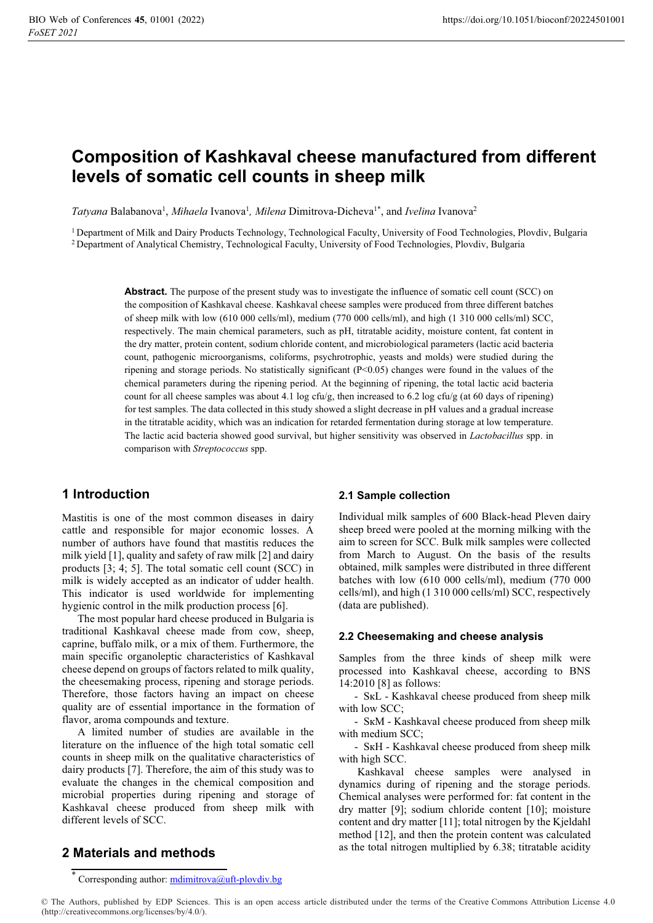# Composition of Kashkaval cheese manufactured from different levels of somatic cell counts in sheep milk

Tatyana Balabanova<sup>1</sup>, Mihaela Ivanova<sup>1</sup>, Milena Dimitrova-Dicheva<sup>1\*</sup>, and Ivelina Ivanova<sup>2</sup>

<sup>1</sup> Department of Milk and Dairy Products Technology, Technological Faculty, University of Food Technologies, Plovdiv, Bulgaria 2 Department of Analytical Chemistry, Technological Faculty, University of Food Technologies, Plovdiv, Bulgaria

> Abstract. The purpose of the present study was to investigate the influence of somatic cell count (SCC) on the composition of Kashkaval cheese. Kashkaval cheese samples were produced from three different batches of sheep milk with low (610 000 cells/ml), medium (770 000 cells/ml), and high (1 310 000 cells/ml) SCC, respectively. The main chemical parameters, such as pH, titratable acidity, moisture content, fat content in the dry matter, protein content, sodium chloride content, and microbiological parameters (lactic acid bacteria count, pathogenic microorganisms, coliforms, psychrotrophic, yeasts and molds) were studied during the ripening and storage periods. No statistically significant (P<0.05) changes were found in the values of the chemical parameters during the ripening period. At the beginning of ripening, the total lactic acid bacteria count for all cheese samples was about 4.1 log cfu/g, then increased to 6.2 log cfu/g (at 60 days of ripening) for test samples. The data collected in this study showed a slight decrease in pH values and a gradual increase in the titratable acidity, which was an indication for retarded fermentation during storage at low temperature. The lactic acid bacteria showed good survival, but higher sensitivity was observed in *Lactobacillus* spp. in comparison with Streptococcus spp.

### 1 Introduction

Mastitis is one of the most common diseases in dairy cattle and responsible for major economic losses. A number of authors have found that mastitis reduces the milk yield [1], quality and safety of raw milk [2] and dairy products [3; 4; 5]. The total somatic cell count (SCC) in milk is widely accepted as an indicator of udder health. This indicator is used worldwide for implementing hygienic control in the milk production process [6].

The most popular hard cheese produced in Bulgaria is traditional Kashkaval cheese made from cow, sheep, caprine, buffalo milk, or a mix of them. Furthermore, the main specific organoleptic characteristics of Kashkaval cheese depend on groups of factors related to milk quality, the cheesemaking process, ripening and storage periods. Therefore, those factors having an impact on cheese quality are of essential importance in the formation of flavor, aroma compounds and texture.

A limited number of studies are available in the literature on the influence of the high total somatic cell counts in sheep milk on the qualitative characteristics of dairy products [7]. Therefore, the aim of this study was to evaluate the changes in the chemical composition and microbial properties during ripening and storage of Kashkaval cheese produced from sheep milk with different levels of SCC.

#### 2.1 Sample collection

Individual milk samples of 600 Black-head Pleven dairy sheep breed were pooled at the morning milking with the aim to screen for SCC. Bulk milk samples were collected from March to August. On the basis of the results obtained, milk samples were distributed in three different batches with low (610 000 cells/ml), medium (770 000 cells/ml), and high (1 310 000 cells/ml) SCC, respectively (data are published).

#### 2.2 Cheesemaking and cheese analysis

Samples from the three kinds of sheep milk were processed into Kashkaval cheese, according to BNS 14:2010 [8] as follows:

- SкL - Kashkaval cheese produced from sheep milk with low SCC;

- SкM - Kashkaval cheese produced from sheep milk with medium SCC;

- SкH - Kashkaval cheese produced from sheep milk with high SCC.

 Kashkaval cheese samples were analysed in dynamics during of ripening and the storage periods. Chemical analyses were performed for: fat content in the dry matter [9]; sodium chloride content [10]; moisture content and dry matter [11]; total nitrogen by the Kjeldahl method [12], and then the protein content was calculated as the total nitrogen multiplied by 6.38; titratable acidity

### 2 Materials and methods

\* Corresponding author: mdimitrova@uft-plovdiv.bg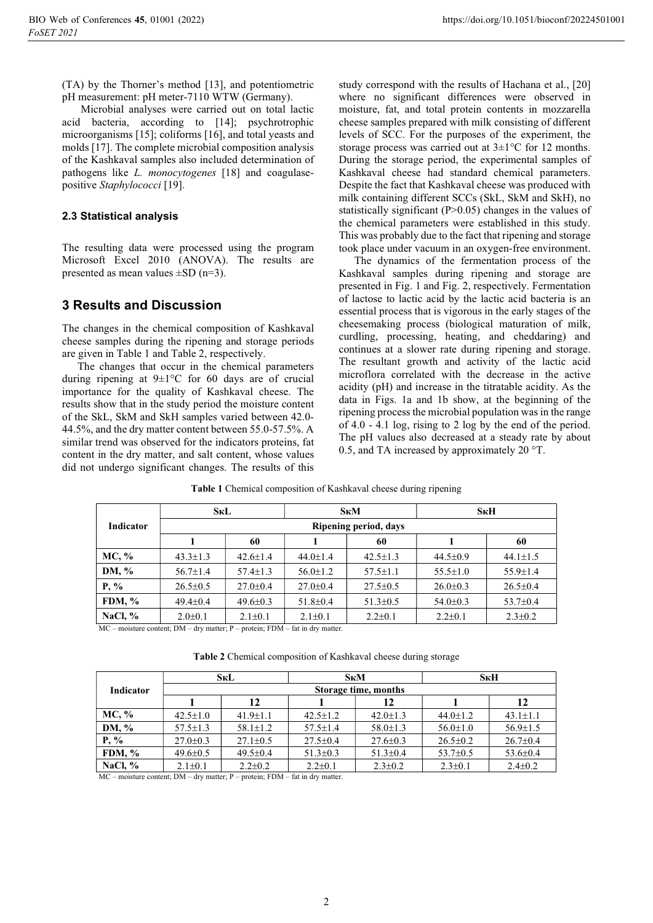(TA) by the Thorner's method [13], and potentiometric pH measurement: pH meter-7110 WTW (Germany).

 Microbial analyses were carried out on total lactic acid bacteria, according to [14]; psychrotrophic microorganisms [15]; coliforms [16], and total yeasts and molds [17]. The complete microbial composition analysis of the Kashkaval samples also included determination of pathogens like L. monocytogenes [18] and coagulasepositive Staphylococci [19].

#### 2.3 Statistical analysis

The resulting data were processed using the program Microsoft Excel 2010 (ANOVA). The results are presented as mean values  $\pm SD$  (n=3).

### 3 Results and Discussion

The changes in the chemical composition of Kashkaval cheese samples during the ripening and storage periods are given in Table 1 and Table 2, respectively.

The changes that occur in the chemical parameters during ripening at 9±1°С for 60 days are of crucial importance for the quality of Kashkaval cheese. The results show that in the study period the moisture content of the SkL, SkM and SkH samples varied between 42.0- 44.5%, and the dry matter content between 55.0-57.5%. A similar trend was observed for the indicators proteins, fat content in the dry matter, and salt content, whose values did not undergo significant changes. The results of this

study correspond with the results of Hachana et al., [20] where no significant differences were observed in moisture, fat, and total protein contents in mozzarella cheese samples prepared with milk consisting of different levels of SCC. For the purposes of the experiment, the storage process was carried out at  $3\pm1\degree$ C for 12 months. During the storage period, the experimental samples of Kashkaval cheese had standard chemical parameters. Despite the fact that Kashkaval cheese was produced with milk containing different SCCs (SkL, SkM and SkH), no statistically significant  $(P>0.05)$  changes in the values of the chemical parameters were established in this study. This was probably due to the fact that ripening and storage took place under vacuum in an oxygen-free environment.

The dynamics of the fermentation process of the Kashkaval samples during ripening and storage are presented in Fig. 1 and Fig. 2, respectively. Fermentation of lactose to lactic acid by the lactic acid bacteria is an essential process that is vigorous in the early stages of the cheesemaking process (biological maturation of milk, curdling, processing, heating, and cheddaring) and continues at a slower rate during ripening and storage. The resultant growth and activity of the lactic acid microflora correlated with the decrease in the active acidity (pH) and increase in the titratable acidity. As the data in Figs. 1a and 1b show, at the beginning of the ripening process the microbial population was in the range of 4.0 - 4.1 log, rising to 2 log by the end of the period. The pH values also decreased at a steady rate by about 0.5, and TA increased by approximately 20 °T.

|                  | <b>SkL</b>            |                |                | S <sub>K</sub> M | SкH            |                |  |  |  |
|------------------|-----------------------|----------------|----------------|------------------|----------------|----------------|--|--|--|
| <b>Indicator</b> | Ripening period, days |                |                |                  |                |                |  |  |  |
|                  |                       | 60             |                | 60               |                | 60             |  |  |  |
| MC, %            | $43.3 \pm 1.3$        | $42.6 \pm 1.4$ | $44.0 \pm 1.4$ | $42.5 \pm 1.3$   | $44.5 \pm 0.9$ | $44.1 \pm 1.5$ |  |  |  |
| DM, %            | $56.7 \pm 1.4$        | $57.4 \pm 1.3$ | $56.0 \pm 1.2$ | $57.5 \pm 1.1$   | $55.5 \pm 1.0$ | $55.9 \pm 1.4$ |  |  |  |
| $P, \%$          | $26.5 \pm 0.5$        | $27.0 \pm 0.4$ | $27.0 \pm 0.4$ | $27.5 \pm 0.5$   | $26.0 \pm 0.3$ | $26.5 \pm 0.4$ |  |  |  |
| FDM, $%$         | $49.4 \pm 0.4$        | $49.6 \pm 0.3$ | $51.8 \pm 0.4$ | $51.3 \pm 0.5$   | $54.0 \pm 0.3$ | $53.7 \pm 0.4$ |  |  |  |
| NaCl, $\%$       | $2.0 \pm 0.1$         | $2.1 \pm 0.1$  |                | $2.2 \pm 0.1$    | $2.2 \pm 0.1$  | $2.3 \pm 0.2$  |  |  |  |

Table 1 Chemical composition of Kashkaval cheese during ripening

MC – moisture content; DM – dry matter; P – protein; FDM – fat in dry matter.

Table 2 Chemical composition of Kashkaval cheese during storagе

|                  |                      | SкL            |                | S <sub>K</sub> M                 | SкH            |                |  |  |  |
|------------------|----------------------|----------------|----------------|----------------------------------|----------------|----------------|--|--|--|
| <b>Indicator</b> | Storage time, months |                |                |                                  |                |                |  |  |  |
|                  |                      | 12             |                | 12                               |                | 12             |  |  |  |
| MC, %            | $42.5 \pm 1.0$       | $41.9 \pm 1.1$ | $42.5 \pm 1.2$ | $42.0 \pm 1.3$<br>$44.0 \pm 1.2$ |                | $43.1 \pm 1.1$ |  |  |  |
| DM, %            | $57.5 \pm 1.3$       | $58.1 \pm 1.2$ | $57.5 \pm 1.4$ | $58.0 \pm 1.3$                   | $56.0 \pm 1.0$ | $56.9 \pm 1.5$ |  |  |  |
| $P, \%$          | $27.0 \pm 0.3$       | $27.1 \pm 0.5$ | $27.5 \pm 0.4$ | $27.6 \pm 0.3$                   | $26.5 \pm 0.2$ | $26.7 \pm 0.4$ |  |  |  |
| FDM, $%$         | $49.6 \pm 0.5$       | $49.5 \pm 0.4$ | $51.3 \pm 0.3$ | $51.3 \pm 0.4$                   | $53.7 \pm 0.5$ | $53.6 \pm 0.4$ |  |  |  |
| NaCl, $\%$       | $2.1 \pm 0.1$        | $2.2 \pm 0.2$  | $2.2 \pm 0.1$  | $2.3 \pm 0.2$                    | $2.3 \pm 0.1$  | $2.4 \pm 0.2$  |  |  |  |

MC – moisture content; DM – dry matter; P – protein; FDM – fat in dry matter.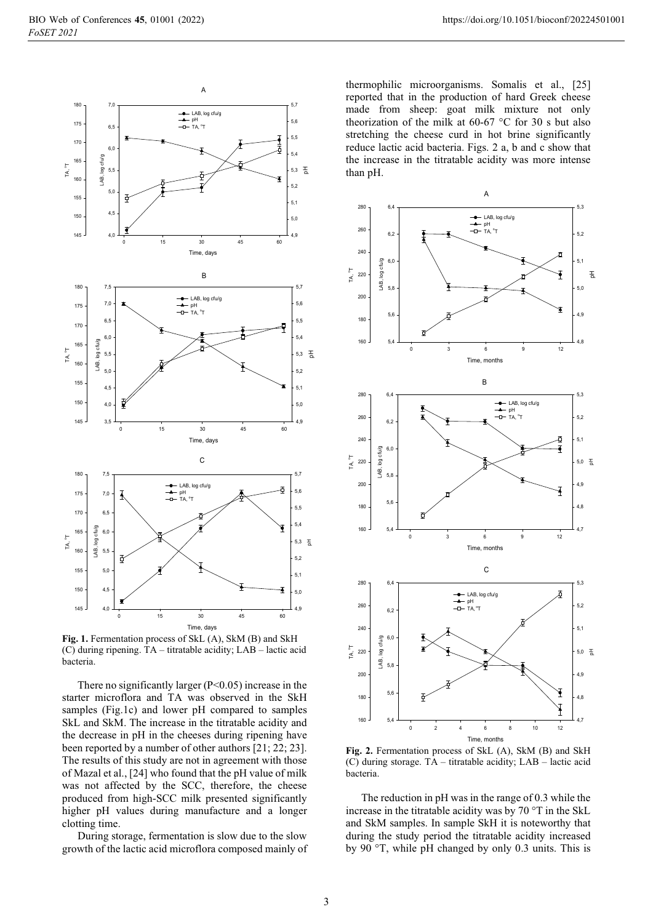

Fig. 1. Fermentation process of SkL (A), SkM (B) and SkH (C) during ripening. TA – titratable acidity; LAB – lactic acid bacteria.

There no significantly larger  $(P<0.05)$  increase in the starter microflora and TA was observed in the SkH samples (Fig.1c) and lower pH compared to samples SkL and SkM. The increase in the titratable acidity and the decrease in pH in the cheeses during ripening have been reported by a number of other authors [21; 22; 23]. The results of this study are not in agreement with those of Mazal et al., [24] who found that the pH value of milk was not affected by the SCC, therefore, the cheese produced from high-SCC milk presented significantly higher pH values during manufacture and a longer clotting time.

During storage, fermentation is slow due to the slow growth of the lactic acid microflora composed mainly of

thermophilic microorganisms. Somalis et al., [25] reported that in the production of hard Greek cheese made from sheep: goat milk mixture not only theorization of the milk at 60-67 °C for 30 s but also stretching the cheese curd in hot brine significantly reduce lactic acid bacteria. Figs. 2 a, b and c show that the increase in the titratable acidity was more intense than pH.



Fig. 2. Fermentation process of SkL (A), SkM (B) and SkH (C) during storage. TA – titratable acidity; LAB – lactic acid bacteria.

The reduction in pH was in the range of 0.3 while the increase in the titratable acidity was by 70 °T in the SkL and SkM samples. In sample SkH it is noteworthy that during the study period the titratable acidity increased by 90 °T, while pH changed by only 0.3 units. This is

3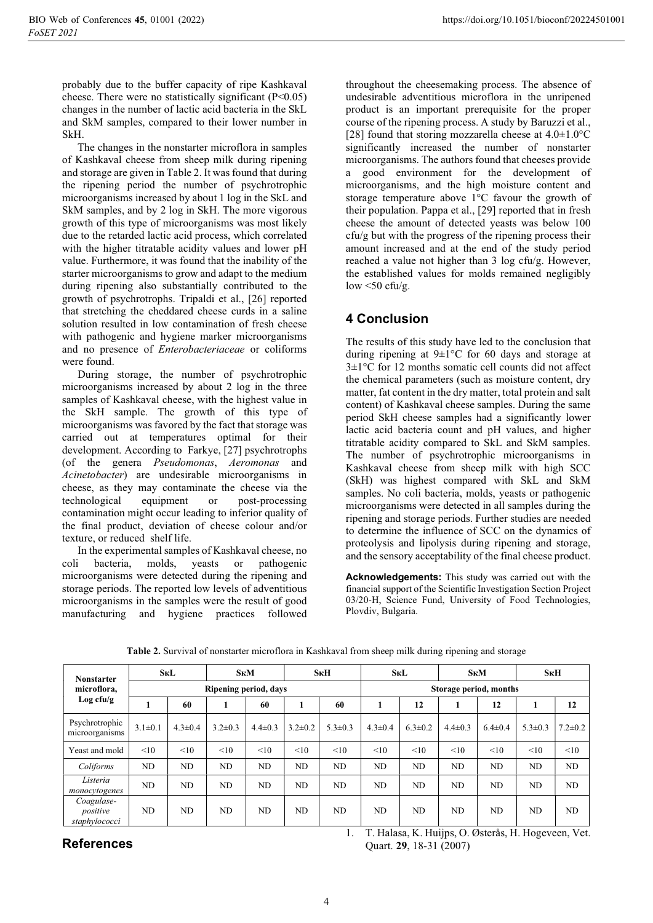probably due to the buffer capacity of ripe Kashkaval cheese. There were no statistically significant  $(P<0.05)$ changes in the number of lactic acid bacteria in the SkL and SkM samples, compared to their lower number in SkH.

The changes in the nonstarter microflora in samples of Kashkaval cheese from sheep milk during ripening and storage are given in Table 2. It was found that during the ripening period the number of psychrotrophic microorganisms increased by about 1 log in the SkL and SkM samples, and by 2 log in SkH. The more vigorous growth of this type of microorganisms was most likely due to the retarded lactic acid process, which correlated with the higher titratable acidity values and lower pH value. Furthermore, it was found that the inability of the starter microorganisms to grow and adapt to the medium during ripening also substantially contributed to the growth of psychrotrophs. Tripaldi et al., [26] reported that stretching the cheddared cheese curds in a saline solution resulted in low contamination of fresh cheese with pathogenic and hygiene marker microorganisms and no presence of Enterobacteriaceae or coliforms were found.

During storage, the number of psychrotrophic microorganisms increased by about 2 log in the three samples of Kashkaval cheese, with the highest value in the SkH sample. The growth of this type of microorganisms was favored by the fact that storage was carried out at temperatures optimal for their development. According to Farkye, [27] psychrotrophs (of the genera Pseudomonas, Aeromonas and Acinetobacter) are undesirable microorganisms in cheese, as they may contaminate the cheese via the technological equipment or post-processing contamination might occur leading to inferior quality of the final product, deviation of cheese colour and/or texture, or reduced shelf life.

In the experimental samples of Kashkaval cheese, no coli bacteria, molds, yeasts or pathogenic microorganisms were detected during the ripening and storage periods. The reported low levels of adventitious microorganisms in the samples were the result of good manufacturing and hygiene practices followed

throughout the cheesemaking process. The absence of undesirable adventitious microflora in the unripened product is an important prerequisite for the proper course of the ripening process. A study by Baruzzi et al., [28] found that storing mozzarella cheese at  $4.0 \pm 1.0^{\circ}$ C significantly increased the number of nonstarter microorganisms. The authors found that cheeses provide a good environment for the development of microorganisms, and the high moisture content and storage temperature above 1°C favour the growth of their population. Pappa et al., [29] reported that in fresh cheese the amount of detected yeasts was below 100 cfu/g but with the progress of the ripening process their amount increased and at the end of the study period reached a value not higher than 3 log cfu/g. However, the established values for molds remained negligibly low  $\leq 50$  cfu/g.

# 4 Conclusion

The results of this study have led to the conclusion that during ripening at 9±1°С for 60 days and storage at 3±1°C for 12 months somatic cell counts did not affect the chemical parameters (such as moisture content, dry matter, fat content in the dry matter, total protein and salt content) of Kashkaval cheese samples. During the same period SkH cheese samples had a significantly lower lactic acid bacteria count and pH values, and higher titratable acidity compared to SkL and SkM samples. The number of psychrotrophic microorganisms in Kashkaval cheese from sheep milk with high SCC (SkH) was highest compared with SkL and SkM samples. No coli bacteria, molds, yeasts or pathogenic microorganisms were detected in all samples during the ripening and storage periods. Further studies are needed to determine the influence of SCC on the dynamics of proteolysis and lipolysis during ripening and storage, and the sensory acceptability of the final cheese product.

Acknowledgements: This study was carried out with the financial support of the Scientific Investigation Section Project 03/20-H, Science Fund, University of Food Technologies, Plovdiv, Bulgaria.

| <b>Nonstarter</b><br>microflora,<br>Log cfu/g | <b>SKL</b>            |               | S <sub>K</sub> M |               | S <sub>K</sub> H |               | <b>SкL</b>             |               | S <sub>K</sub> M |               | S <sub>K</sub> H |               |
|-----------------------------------------------|-----------------------|---------------|------------------|---------------|------------------|---------------|------------------------|---------------|------------------|---------------|------------------|---------------|
|                                               | Ripening period, days |               |                  |               |                  |               | Storage period, months |               |                  |               |                  |               |
|                                               |                       | 60            |                  | 60            |                  | 60            | 1                      | 12            |                  | 12            | ш                | 12            |
| Psychrotrophic<br>microorganisms              | $3.1 \pm 0.1$         | $4.3 \pm 0.4$ | $3.2 \pm 0.3$    | $4.4 \pm 0.3$ | $3.2 \pm 0.2$    | $5.3 \pm 0.3$ | $4.3 \pm 0.4$          | $6.3 \pm 0.2$ | $4.4 \pm 0.3$    | $6.4 \pm 0.4$ | $5.3 \pm 0.3$    | $7.2 \pm 0.2$ |
| Yeast and mold                                | <10                   | <10           | <10              | <10           | <10              | <10           | <10                    | <10           | <10              | <10           | <10              | <10           |
| Coliforms                                     | ND                    | ND            | ND               | ND            | <b>ND</b>        | ND            | ND                     | ND            | ND               | ND            | ND               | ND            |
| Listeria<br>monocytogenes                     | N <sub>D</sub>        | ND            | ND               | ND.           | ND.              | ND            | ND                     | ND.           | ND.              | ND            | ND               | ND.           |
| Coagulase-<br>positive<br>staphylococci       | ND.                   | ND            | ND               | ND            | <b>ND</b>        | ND            | ND.                    | ND            | ND.              | ND            | ND               | ND            |

Table 2. Survival of nonstarter microflora in Kashkaval from sheep milk during ripening and storage

## References

1. T. Halasa, K. Huijps, O. Østerås, H. Hogeveen, Vet. Quart. 29, 18-31 (2007)